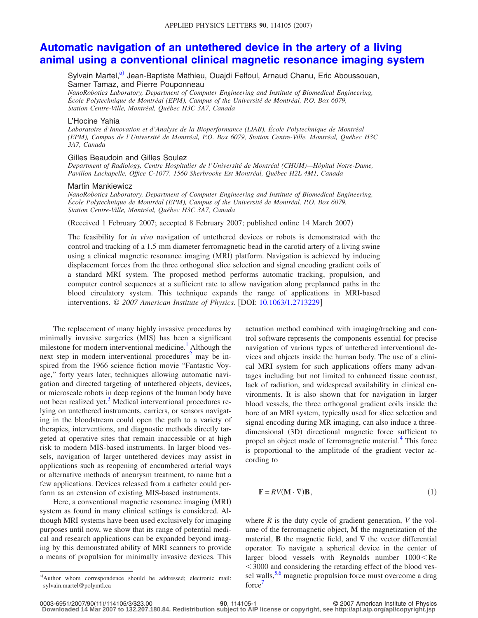## **[Automatic navigation of an untethered device in the artery of a living](http://dx.doi.org/10.1063/1.2713229) [animal using a conventional clinical magnetic resonance imaging system](http://dx.doi.org/10.1063/1.2713229)**

Sylvain Martel,<sup>a)</sup> Jean-Baptiste Mathieu, Ouajdi Felfoul, Arnaud Chanu, Eric Aboussouan, Samer Tamaz, and Pierre Pouponneau

*NanoRobotics Laboratory, Department of Computer Engineering and Institute of Biomedical Engineering, École Polytechnique de Montréal (EPM), Campus of the Université de Montréal, P.O. Box 6079, Station Centre-Ville, Montréal, Québec H3C 3A7, Canada*

## L'Hocine Yahia

*Laboratoire d'Innovation et d'Analyse de la Bioperformance (LIAB), École Polytechnique de Montréal (EPM), Campus de l'Université de Montréal, P.O. Box 6079, Station Centre-Ville, Montréal, Québec H3C 3A7, Canada*

## Gilles Beaudoin and Gilles Soulez

*Department of Radiology, Centre Hospitalier de l'Université de Montréal (CHUM)—Hôpital Notre-Dame, Pavillon Lachapelle, Office C-1077, 1560 Sherbrooke Est Montréal, Québec H2L 4M1, Canada*

## Martin Mankiewicz

*NanoRobotics Laboratory, Department of Computer Engineering and Institute of Biomedical Engineering, École Polytechnique de Montréal (EPM), Campus of the Université de Montréal, P.O. Box 6079, Station Centre-Ville, Montréal, Québec H3C 3A7, Canada*

(Received 1 February 2007; accepted 8 February 2007; published online 14 March 2007)

The feasibility for *in vivo* navigation of untethered devices or robots is demonstrated with the control and tracking of a 1.5 mm diameter ferromagnetic bead in the carotid artery of a living swine using a clinical magnetic resonance imaging (MRI) platform. Navigation is achieved by inducing displacement forces from the three orthogonal slice selection and signal encoding gradient coils of a standard MRI system. The proposed method performs automatic tracking, propulsion, and computer control sequences at a sufficient rate to allow navigation along preplanned paths in the blood circulatory system. This technique expands the range of applications in MRI-based interventions. © *2007 American Institute of Physics*. DOI: [10.1063/1.2713229](http://dx.doi.org/10.1063/1.2713229)

The replacement of many highly invasive procedures by minimally invasive surgeries (MIS) has been a significant milestone for modern interventional medicine.<sup>1</sup> Although the next step in modern interventional procedures<sup>2</sup> may be inspired from the 1966 science fiction movie "Fantastic Voyage," forty years later, techniques allowing automatic navigation and directed targeting of untethered objects, devices, or microscale robots in deep regions of the human body have not been realized yet.<sup>3</sup> Medical interventional procedures relying on untethered instruments, carriers, or sensors navigating in the bloodstream could open the path to a variety of therapies, interventions, and diagnostic methods directly targeted at operative sites that remain inaccessible or at high risk to modern MIS-based instruments. In larger blood vessels, navigation of larger untethered devices may assist in applications such as reopening of encumbered arterial ways or alternative methods of aneurysm treatment, to name but a few applications. Devices released from a catheter could perform as an extension of existing MIS-based instruments.

Here, a conventional magnetic resonance imaging (MRI) system as found in many clinical settings is considered. Although MRI systems have been used exclusively for imaging purposes until now, we show that its range of potential medical and research applications can be expanded beyond imaging by this demonstrated ability of MRI scanners to provide a means of propulsion for minimally invasive devices. This actuation method combined with imaging/tracking and control software represents the components essential for precise navigation of various types of untethered interventional devices and objects inside the human body. The use of a clinical MRI system for such applications offers many advantages including but not limited to enhanced tissue contrast, lack of radiation, and widespread availability in clinical environments. It is also shown that for navigation in larger blood vessels, the three orthogonal gradient coils inside the bore of an MRI system, typically used for slice selection and signal encoding during MR imaging, can also induce a threedimensional (3D) directional magnetic force sufficient to propel an object made of ferromagnetic material.<sup>4</sup> This force is proportional to the amplitude of the gradient vector according to

$$
\mathbf{F} = RV(\mathbf{M} \cdot \nabla)\mathbf{B},\tag{1}
$$

where *R* is the duty cycle of gradient generation, *V* the volume of the ferromagnetic object, **M** the magnetization of the material, **B** the magnetic field, and  $\nabla$  the vector differential operator. To navigate a spherical device in the center of larger blood vessels with Reynolds number  $1000 < Re$ 3000 and considering the retarding effect of the blood vessel walls, $5.6$  magnetic propulsion force must overcome a drag force<sup>7</sup>

<span id="page-0-0"></span>a) Author whom correspondence should be addressed; electronic mail: sylvain.martel@polymtl.ca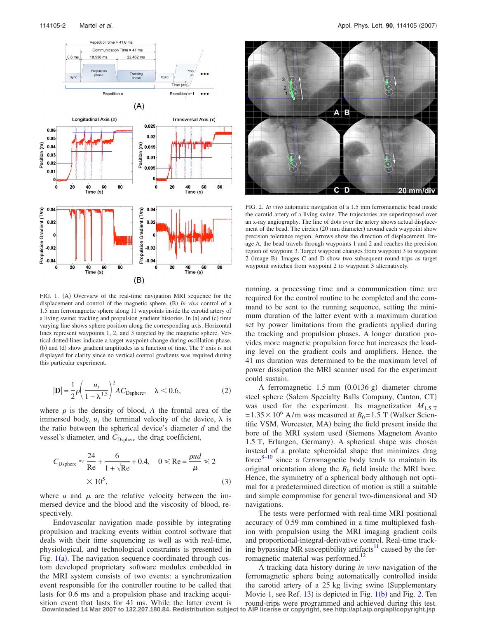<span id="page-1-0"></span>

FIG. 1. (A) Overview of the real-time navigation MRI sequence for the displacement and control of the magnetic sphere. (B) In vivo control of a 1.5 mm ferromagnetic sphere along 11 waypoints inside the carotid artery of a living swine: tracking and propulsion gradient histories. In (a) and (c) time varying line shows sphere position along the corresponding axis. Horizontal lines represent waypoints 1, 2, and 3 targeted by the magnetic sphere. Vertical dotted lines indicate a target waypoint change during oscillation phase. (b) and (d) show gradient amplitudes as a function of time. The *Y* axis is not displayed for clarity since no vertical control gradients was required during this particular experiment.

$$
|\mathbf{D}| = \frac{1}{2}\rho \left(\frac{u_t}{1 - \lambda^{1.5}}\right)^2 AC_{\text{Dsphere}}, \quad \lambda < 0.6,\tag{2}
$$

where  $\rho$  is the density of blood,  $A$  the frontal area of the immersed body,  $u_t$  the terminal velocity of the device,  $\lambda$  is the ratio between the spherical device's diameter *d* and the vessel's diameter, and C<sub>Dsphere</sub> the drag coefficient,

$$
C_{\text{Dsphere}} \approx \frac{24}{\text{Re}} + \frac{6}{1 + \sqrt{\text{Re}}} + 0.4, \quad 0 \le \text{Re} = \frac{\rho ud}{\mu} \le 2
$$
  
× 10<sup>5</sup>, (3)

where  $u$  and  $\mu$  are the relative velocity between the immersed device and the blood and the viscosity of blood, respectively.

Endovascular navigation made possible by integrating propulsion and tracking events within control software that deals with their time sequencing as well as with real-time, physiological, and technological constraints is presented in Fig.  $1(a)$  $1(a)$ . The navigation sequence coordinated through custom developed proprietary software modules embedded in the MRI system consists of two events: a synchronization event responsible for the controller routine to be called that lasts for 0.6 ms and a propulsion phase and tracking acquisition event that lasts for 41 ms. While the latter event is **Downloaded 14 Mar 2007 to 132.207.180.84. Redistribution subject to AIP license or copyright, see http://apl.aip.org/apl/copyright.jsp**

<span id="page-1-1"></span>

FIG. 2. *In vivo* automatic navigation of a 1.5 mm ferromagnetic bead inside the carotid artery of a living swine. The trajectories are superimposed over an x-ray angiography. The line of dots over the artery shows actual displacement of the bead. The circles (20 mm diameter) around each waypoint show precision tolerance region. Arrows show the direction of displacement. Image A, the bead travels through waypoints 1 and 2 and reaches the precision region of waypoint 3. Target waypoint changes from waypoint 3 to waypoint 2 (image B). Images C and D show two subsequent round-trips as target waypoint switches from waypoint 2 to waypoint 3 alternatively.

running, a processing time and a communication time are required for the control routine to be completed and the command to be sent to the running sequence, setting the minimum duration of the latter event with a maximum duration set by power limitations from the gradients applied during the tracking and propulsion phases. A longer duration provides more magnetic propulsion force but increases the loading level on the gradient coils and amplifiers. Hence, the 41 ms duration was determined to be the maximum level of power dissipation the MRI scanner used for the experiment could sustain.

A ferromagnetic 1.5 mm (0.0136 g) diameter chrome steel sphere (Salem Specialty Balls Company, Canton, CT) was used for the experiment. Its magnetization  $M_{1.5 T}$  $= 1.35 \times 10^6$  A/m was measured at *B*<sub>0</sub>= 1.5 T (Walker Scientific VSM, Worcester, MA) being the field present inside the bore of the MRI system used (Siemens Magnetom Avanto 1.5 T, Erlangen, Germany). A spherical shape was chosen instead of a prolate spheroidal shape that minimizes drag force $8-10$  since a ferromagnetic body tends to maintain its original orientation along the  $B_0$  field inside the MRI bore. Hence, the symmetry of a spherical body although not optimal for a predetermined direction of motion is still a suitable and simple compromise for general two-dimensional and 3D navigations.

The tests were performed with real-time MRI positional accuracy of 0.59 mm combined in a time multiplexed fashion with propulsion using the MRI imaging gradient coils and proportional-integral-derivative control. Real-time tracking bypassing MR susceptibility artifacts<sup>11</sup> caused by the ferromagnetic material was performed.<sup>12</sup>

A tracking data history during *in vivo* navigation of the ferromagnetic sphere being automatically controlled inside the carotid artery of a 25 kg living swine (Supplementary Movie [1](#page-1-0), see Ref.  $13$ ) is depicted in Fig.  $1(b)$  and Fig. [2.](#page-1-1) Ten round-trips were programmed and achieved during this test.